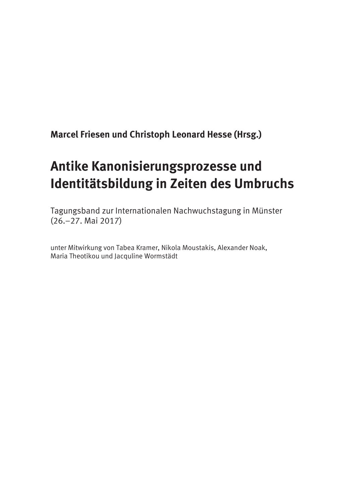**Marcel Friesen und Christoph Leonard Hesse (Hrsg.)** 

# **Antike Kanonisierungsprozesse und Identitätsbildung in Zeiten des Umbruchs**

Tagungsband zur Internationalen Nachwuchstagung in Münster (26.–27. Mai 2017)

unter Mitwirkung von Tabea Kramer, Nikola Moustakis, Alexander Noak, Maria Theotikou und Jacquline Wormstädt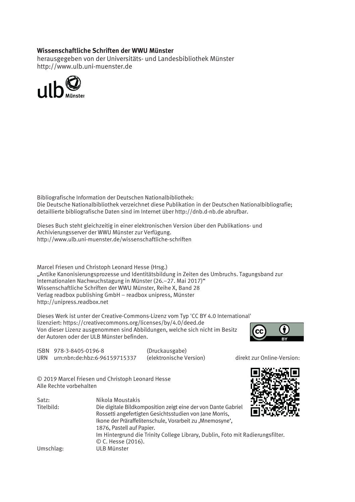#### **Wissenschaftliche Schriften der WWU Münster**

herausgegeben von der Universitäts- und Landesbibliothek Münster http://www.ulb.uni-muenster.de



Bibliografische Information der Deutschen Nationalbibliothek: Die Deutsche Nationalbibliothek verzeichnet diese Publikation in der Deutschen Nationalbibliografie; detaillierte bibliografische Daten sind im Internet über http://dnb.d-nb.de abrufbar.

Dieses Buch steht gleichzeitig in einer elektronischen Version über den Publikations- und Archivierungsserver der WWU Münster zur Verfügung. http://www.ulb.uni-muenster.de/wissenschaftliche-schriften

Marcel Friesen und Christoph Leonard Hesse (Hrsg.) "Antike Kanonisierungsprozesse und Identitätsbildung in Zeiten des Umbruchs. Tagungsband zur Internationalen Nachwuchstagung in Münster (26.–27. Mai 2017)" Wissenschaftliche Schriften der WWU Münster, Reihe X, Band 28 Verlag readbox publishing GmbH – readbox unipress, Münster http://unipress.readbox.net

Dieses Werk ist unter der Creative-Commons-Lizenz vom Typ 'CC BY 4.0 International' lizenziert: https://creativecommons.org/licenses/by/4.0/deed.de Von dieser Lizenz ausgenommen sind Abbildungen, welche sich nicht im Besitz der Autoren oder der ULB Münster befinden.



ISBN 978-3-8405-0196-8 (Druckausgabe) URN urn:nbn:de:hbz:6-96159715337 (elektronische Version) direkt zur Online-Version:

© 2019 Marcel Friesen und Christoph Leonard Hesse Alle Rechte vorbehalten

| MAT.  |                                                                                |
|-------|--------------------------------------------------------------------------------|
|       |                                                                                |
| an an |                                                                                |
|       | Im Hintergrund die Trinity College Library, Dublin, Foto mit Radierungsfilter. |
|       |                                                                                |
|       |                                                                                |
|       |                                                                                |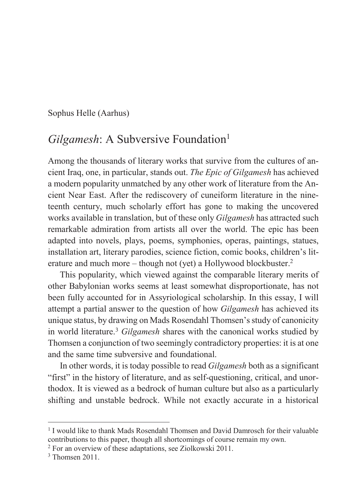Sophus Helle (Aarhus)

## *Gilgamesh*: A Subversive Foundation<sup>1</sup>

Among the thousands of literary works that survive from the cultures of ancient Iraq, one, in particular, stands out. *The Epic of Gilgamesh* has achieved a modern popularity unmatched by any other work of literature from the Ancient Near East. After the rediscovery of cuneiform literature in the nineteenth century, much scholarly effort has gone to making the uncovered works available in translation, but of these only *Gilgamesh* has attracted such remarkable admiration from artists all over the world. The epic has been adapted into novels, plays, poems, symphonies, operas, paintings, statues, installation art, literary parodies, science fiction, comic books, children's literature and much more – though not (yet) a Hollywood blockbuster.2

This popularity, which viewed against the comparable literary merits of other Babylonian works seems at least somewhat disproportionate, has not been fully accounted for in Assyriological scholarship. In this essay, I will attempt a partial answer to the question of how *Gilgamesh* has achieved its unique status, by drawing on Mads Rosendahl Thomsen's study of canonicity in world literature.3 *Gilgamesh* shares with the canonical works studied by Thomsen a conjunction of two seemingly contradictory properties: it is at one and the same time subversive and foundational.

In other words, it is today possible to read *Gilgamesh* both as a significant "first" in the history of literature, and as self-questioning, critical, and unorthodox. It is viewed as a bedrock of human culture but also as a particularly shifting and unstable bedrock. While not exactly accurate in a historical

<sup>1</sup> I would like to thank Mads Rosendahl Thomsen and David Damrosch for their valuable contributions to this paper, though all shortcomings of course remain my own. 2 For an overview of these adaptations, see Ziolkowski 2011.

<sup>3</sup> Thomsen 2011.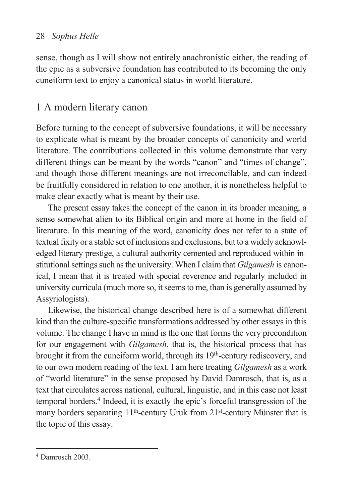sense, though as I will show not entirely anachronistic either, the reading of the epic as a subversive foundation has contributed to its becoming the only cuneiform text to enjoy a canonical status in world literature.

## 1 A modern literary canon

Before turning to the concept of subversive foundations, it will be necessary to explicate what is meant by the broader concepts of canonicity and world literature. The contributions collected in this volume demonstrate that very different things can be meant by the words "canon" and "times of change", and though those different meanings are not irreconcilable, and can indeed be fruitfully considered in relation to one another, it is nonetheless helpful to make clear exactly what is meant by their use.

The present essay takes the concept of the canon in its broader meaning, a sense somewhat alien to its Biblical origin and more at home in the field of literature. In this meaning of the word, canonicity does not refer to a state of textual fixity or a stable set of inclusions and exclusions, but to a widely acknowledged literary prestige, a cultural authority cemented and reproduced within institutional settings such as the university. When I claim that *Gilgamesh* is canonical, I mean that it is treated with special reverence and regularly included in university curricula (much more so, it seems to me, than is generally assumed by Assyriologists).

Likewise, the historical change described here is of a somewhat different kind than the culture-specific transformations addressed by other essays in this volume. The change I have in mind is the one that forms the very precondition for our engagement with *Gilgamesh*, that is, the historical process that has brought it from the cuneiform world, through its  $19<sup>th</sup>$ -century rediscovery, and to our own modern reading of the text. I am here treating *Gilgamesh* as a work of "world literature" in the sense proposed by David Damrosch, that is, as a text that circulates across national, cultural, linguistic, and in this case not least temporal borders.4 Indeed, it is exactly the epic's forceful transgression of the many borders separating 11<sup>th</sup>-century Uruk from 21<sup>st</sup>-century Münster that is the topic of this essay.

<sup>4</sup> Damrosch 2003.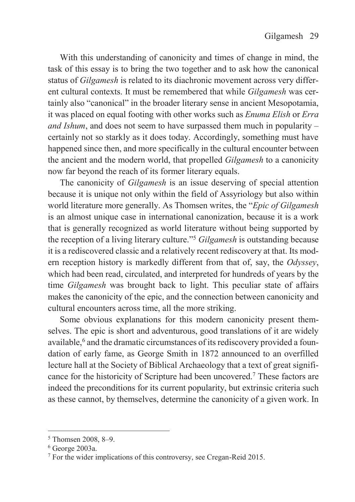With this understanding of canonicity and times of change in mind, the task of this essay is to bring the two together and to ask how the canonical status of *Gilgamesh* is related to its diachronic movement across very different cultural contexts. It must be remembered that while *Gilgamesh* was certainly also "canonical" in the broader literary sense in ancient Mesopotamia, it was placed on equal footing with other works such as *Enuma Elish* or *Erra and Ishum*, and does not seem to have surpassed them much in popularity – certainly not so starkly as it does today. Accordingly, something must have happened since then, and more specifically in the cultural encounter between the ancient and the modern world, that propelled *Gilgamesh* to a canonicity now far beyond the reach of its former literary equals.

The canonicity of *Gilgamesh* is an issue deserving of special attention because it is unique not only within the field of Assyriology but also within world literature more generally. As Thomsen writes, the "*Epic of Gilgamesh* is an almost unique case in international canonization, because it is a work that is generally recognized as world literature without being supported by the reception of a living literary culture."<sup>5</sup> *Gilgamesh* is outstanding because it is a rediscovered classic and a relatively recent rediscovery at that. Its modern reception history is markedly different from that of, say, the *Odyssey*, which had been read, circulated, and interpreted for hundreds of years by the time *Gilgamesh* was brought back to light. This peculiar state of affairs makes the canonicity of the epic, and the connection between canonicity and cultural encounters across time, all the more striking.

Some obvious explanations for this modern canonicity present themselves. The epic is short and adventurous, good translations of it are widely available,<sup>6</sup> and the dramatic circumstances of its rediscovery provided a foundation of early fame, as George Smith in 1872 announced to an overfilled lecture hall at the Society of Biblical Archaeology that a text of great significance for the historicity of Scripture had been uncovered.7 These factors are indeed the preconditions for its current popularity, but extrinsic criteria such as these cannot, by themselves, determine the canonicity of a given work. In

 $5$  Thomsen 2008, 8–9.<br> $6$  George 2003a.

<sup>&</sup>lt;sup>7</sup> For the wider implications of this controversy, see Cregan-Reid 2015.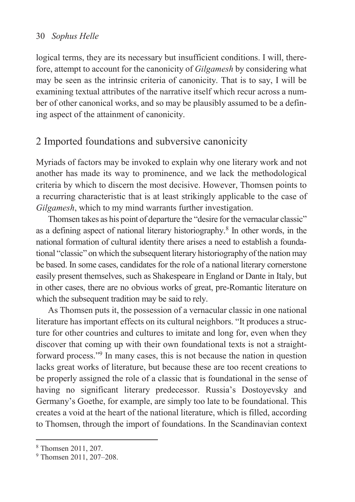logical terms, they are its necessary but insufficient conditions. I will, therefore, attempt to account for the canonicity of *Gilgamesh* by considering what may be seen as the intrinsic criteria of canonicity. That is to say, I will be examining textual attributes of the narrative itself which recur across a number of other canonical works, and so may be plausibly assumed to be a defining aspect of the attainment of canonicity.

## 2 Imported foundations and subversive canonicity

Myriads of factors may be invoked to explain why one literary work and not another has made its way to prominence, and we lack the methodological criteria by which to discern the most decisive. However, Thomsen points to a recurring characteristic that is at least strikingly applicable to the case of *Gilgamesh*, which to my mind warrants further investigation.

Thomsen takes as his point of departure the "desire for the vernacular classic" as a defining aspect of national literary historiography.8 In other words, in the national formation of cultural identity there arises a need to establish a foundational "classic" on which the subsequent literary historiography of the nation may be based. In some cases, candidates for the role of a national literary cornerstone easily present themselves, such as Shakespeare in England or Dante in Italy, but in other cases, there are no obvious works of great, pre-Romantic literature on which the subsequent tradition may be said to rely.

As Thomsen puts it, the possession of a vernacular classic in one national literature has important effects on its cultural neighbors. "It produces a structure for other countries and cultures to imitate and long for, even when they discover that coming up with their own foundational texts is not a straightforward process."<sup>9</sup> In many cases, this is not because the nation in question lacks great works of literature, but because these are too recent creations to be properly assigned the role of a classic that is foundational in the sense of having no significant literary predecessor. Russia's Dostoyevsky and Germany's Goethe, for example, are simply too late to be foundational. This creates a void at the heart of the national literature, which is filled, according to Thomsen, through the import of foundations. In the Scandinavian context

<sup>8</sup> Thomsen 2011, 207.

<sup>&</sup>lt;sup>9</sup> Thomsen 2011, 207-208.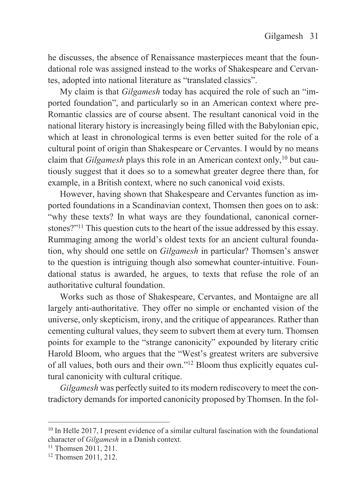he discusses, the absence of Renaissance masterpieces meant that the foundational role was assigned instead to the works of Shakespeare and Cervantes, adopted into national literature as "translated classics".

My claim is that *Gilgamesh* today has acquired the role of such an "imported foundation", and particularly so in an American context where pre-Romantic classics are of course absent. The resultant canonical void in the national literary history is increasingly being filled with the Babylonian epic, which at least in chronological terms is even better suited for the role of a cultural point of origin than Shakespeare or Cervantes. I would by no means claim that *Gilgamesh* plays this role in an American context only,<sup>10</sup> but cautiously suggest that it does so to a somewhat greater degree there than, for example, in a British context, where no such canonical void exists.

However, having shown that Shakespeare and Cervantes function as imported foundations in a Scandinavian context, Thomsen then goes on to ask: "why these texts? In what ways are they foundational, canonical cornerstones?"11 This question cuts to the heart of the issue addressed by this essay. Rummaging among the world's oldest texts for an ancient cultural foundation, why should one settle on *Gilgamesh* in particular? Thomsen's answer to the question is intriguing though also somewhat counter-intuitive. Foundational status is awarded, he argues, to texts that refuse the role of an authoritative cultural foundation.

Works such as those of Shakespeare, Cervantes, and Montaigne are all largely anti-authoritative. They offer no simple or enchanted vision of the universe, only skepticism, irony, and the critique of appearances. Rather than cementing cultural values, they seem to subvert them at every turn. Thomsen points for example to the "strange canonicity" expounded by literary critic Harold Bloom, who argues that the "West's greatest writers are subversive of all values, both ours and their own."12 Bloom thus explicitly equates cultural canonicity with cultural critique.

*Gilgamesh* was perfectly suited to its modern rediscovery to meet the contradictory demands for imported canonicity proposed by Thomsen. In the fol-

<sup>&</sup>lt;sup>10</sup> In Helle 2017, I present evidence of a similar cultural fascination with the foundational character of *Gilgamesh* in a Danish context. 11 Thomsen 2011, 211.

<sup>12</sup> Thomsen 2011, 212.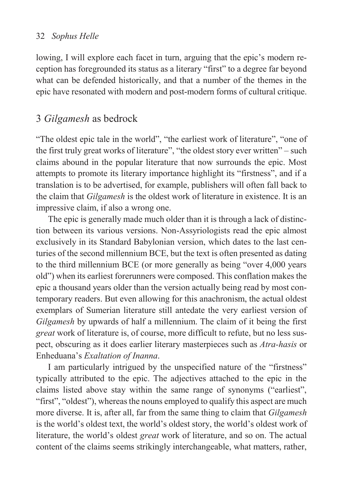lowing, I will explore each facet in turn, arguing that the epic's modern reception has foregrounded its status as a literary "first" to a degree far beyond what can be defended historically, and that a number of the themes in the epic have resonated with modern and post-modern forms of cultural critique.

## 3 *Gilgamesh* as bedrock

"The oldest epic tale in the world", "the earliest work of literature", "one of the first truly great works of literature", "the oldest story ever written" – such claims abound in the popular literature that now surrounds the epic. Most attempts to promote its literary importance highlight its "firstness", and if a translation is to be advertised, for example, publishers will often fall back to the claim that *Gilgamesh* is the oldest work of literature in existence. It is an impressive claim, if also a wrong one.

The epic is generally made much older than it is through a lack of distinction between its various versions. Non-Assyriologists read the epic almost exclusively in its Standard Babylonian version, which dates to the last centuries of the second millennium BCE, but the text is often presented as dating to the third millennium BCE (or more generally as being "over 4,000 years old") when its earliest forerunners were composed. This conflation makes the epic a thousand years older than the version actually being read by most contemporary readers. But even allowing for this anachronism, the actual oldest exemplars of Sumerian literature still antedate the very earliest version of *Gilgamesh* by upwards of half a millennium. The claim of it being the first *great* work of literature is, of course, more difficult to refute, but no less suspect, obscuring as it does earlier literary masterpieces such as *Atra-hasis* or Enheduana's *Exaltation of Inanna*.

I am particularly intrigued by the unspecified nature of the "firstness" typically attributed to the epic. The adjectives attached to the epic in the claims listed above stay within the same range of synonyms ("earliest", "first", "oldest"), whereas the nouns employed to qualify this aspect are much more diverse. It is, after all, far from the same thing to claim that *Gilgamesh* is the world's oldest text, the world's oldest story, the world's oldest work of literature, the world's oldest *great* work of literature, and so on. The actual content of the claims seems strikingly interchangeable, what matters, rather,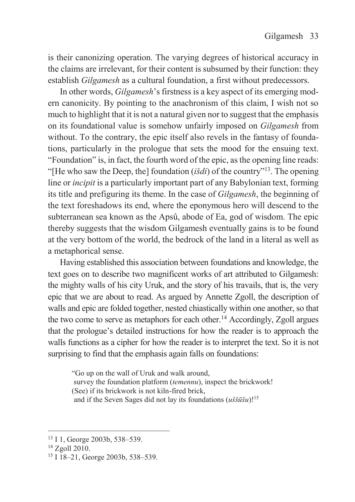is their canonizing operation. The varying degrees of historical accuracy in the claims are irrelevant, for their content is subsumed by their function: they establish *Gilgamesh* as a cultural foundation, a first without predecessors.

In other words, *Gilgamesh*'s firstness is a key aspect of its emerging modern canonicity. By pointing to the anachronism of this claim, I wish not so much to highlight that it is not a natural given nor to suggest that the emphasis on its foundational value is somehow unfairly imposed on *Gilgamesh* from without. To the contrary, the epic itself also revels in the fantasy of foundations, particularly in the prologue that sets the mood for the ensuing text. "Foundation" is, in fact, the fourth word of the epic, as the opening line reads: "[He who saw the Deep, the] foundation (*išdi*) of the country"13. The opening line or *incipit* is a particularly important part of any Babylonian text, forming its title and prefiguring its theme. In the case of *Gilgamesh*, the beginning of the text foreshadows its end, where the eponymous hero will descend to the subterranean sea known as the Apsû, abode of Ea, god of wisdom. The epic thereby suggests that the wisdom Gilgamesh eventually gains is to be found at the very bottom of the world, the bedrock of the land in a literal as well as a metaphorical sense.

Having established this association between foundations and knowledge, the text goes on to describe two magnificent works of art attributed to Gilgamesh: the mighty walls of his city Uruk, and the story of his travails, that is, the very epic that we are about to read. As argued by Annette Zgoll, the description of walls and epic are folded together, nested chiastically within one another, so that the two come to serve as metaphors for each other.<sup>14</sup> Accordingly, Zgoll argues that the prologue's detailed instructions for how the reader is to approach the walls functions as a cipher for how the reader is to interpret the text. So it is not surprising to find that the emphasis again falls on foundations:

"Go up on the wall of Uruk and walk around, survey the foundation platform (*temennu*), inspect the brickwork! (See) if its brickwork is not kiln-fired brick, and if the Seven Sages did not lay its foundations (*uššūšu*)!15

<sup>&</sup>lt;sup>13</sup> I 1, George 2003b, 538–539.<br><sup>14</sup> Zgoll 2010.

<sup>15</sup> I 18–21, George 2003b, 538–539.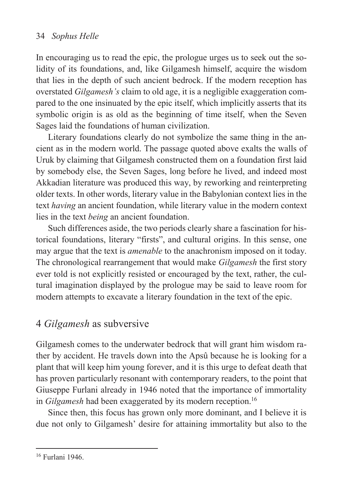In encouraging us to read the epic, the prologue urges us to seek out the solidity of its foundations, and, like Gilgamesh himself, acquire the wisdom that lies in the depth of such ancient bedrock. If the modern reception has overstated *Gilgamesh's* claim to old age, it is a negligible exaggeration compared to the one insinuated by the epic itself, which implicitly asserts that its symbolic origin is as old as the beginning of time itself, when the Seven Sages laid the foundations of human civilization.

Literary foundations clearly do not symbolize the same thing in the ancient as in the modern world. The passage quoted above exalts the walls of Uruk by claiming that Gilgamesh constructed them on a foundation first laid by somebody else, the Seven Sages, long before he lived, and indeed most Akkadian literature was produced this way, by reworking and reinterpreting older texts. In other words, literary value in the Babylonian context lies in the text *having* an ancient foundation, while literary value in the modern context lies in the text *being* an ancient foundation.

Such differences aside, the two periods clearly share a fascination for historical foundations, literary "firsts", and cultural origins. In this sense, one may argue that the text is *amenable* to the anachronism imposed on it today. The chronological rearrangement that would make *Gilgamesh* the first story ever told is not explicitly resisted or encouraged by the text, rather, the cultural imagination displayed by the prologue may be said to leave room for modern attempts to excavate a literary foundation in the text of the epic.

## 4 *Gilgamesh* as subversive

Gilgamesh comes to the underwater bedrock that will grant him wisdom rather by accident. He travels down into the Apsû because he is looking for a plant that will keep him young forever, and it is this urge to defeat death that has proven particularly resonant with contemporary readers, to the point that Giuseppe Furlani already in 1946 noted that the importance of immortality in *Gilgamesh* had been exaggerated by its modern reception.<sup>16</sup>

Since then, this focus has grown only more dominant, and I believe it is due not only to Gilgamesh' desire for attaining immortality but also to the

<sup>16</sup> Furlani 1946.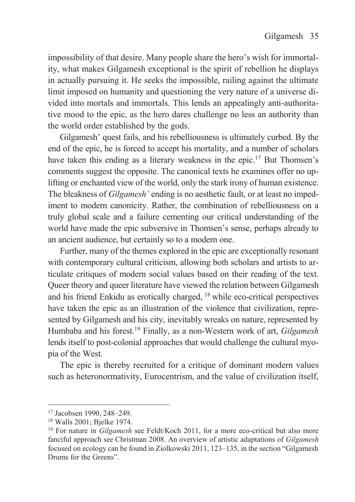impossibility of that desire. Many people share the hero's wish for immortality, what makes Gilgamesh exceptional is the spirit of rebellion he displays in actually pursuing it. He seeks the impossible, railing against the ultimate limit imposed on humanity and questioning the very nature of a universe divided into mortals and immortals. This lends an appealingly anti-authoritative mood to the epic, as the hero dares challenge no less an authority than the world order established by the gods.

Gilgamesh' quest fails, and his rebelliousness is ultimately curbed. By the end of the epic, he is forced to accept his mortality, and a number of scholars have taken this ending as a literary weakness in the epic.<sup>17</sup> But Thomsen's comments suggest the opposite. The canonical texts he examines offer no uplifting or enchanted view of the world, only the stark irony of human existence. The bleakness of *Gilgamesh'* ending is no aesthetic fault, or at least no impediment to modern canonicity. Rather, the combination of rebelliousness on a truly global scale and a failure cementing our critical understanding of the world have made the epic subversive in Thomsen's sense, perhaps already to an ancient audience, but certainly so to a modern one.

Further, many of the themes explored in the epic are exceptionally resonant with contemporary cultural criticism, allowing both scholars and artists to articulate critiques of modern social values based on their reading of the text. Queer theory and queer literature have viewed the relation between Gilgamesh and his friend Enkidu as erotically charged, 18 while eco-critical perspectives have taken the epic as an illustration of the violence that civilization, represented by Gilgamesh and his city, inevitably wreaks on nature, represented by Humbaba and his forest.19 Finally, as a non-Western work of art, *Gilgamesh* lends itself to post-colonial approaches that would challenge the cultural myopia of the West.

The epic is thereby recruited for a critique of dominant modern values such as heteronormativity, Eurocentrism, and the value of civilization itself,

<sup>&</sup>lt;sup>17</sup> Jacobsen 1990, 248–249.<br><sup>18</sup> Walls 2001; Bjelke 1974.

<sup>&</sup>lt;sup>19</sup> For nature in *Gilgamesh* see Feldt/Koch 2011, for a more eco-critical but also more fanciful approach see Christman 2008. An overview of artistic adaptations of *Gilgamesh* focused on ecology can be found in Ziolkowski 2011, 123–135, in the section "Gilgamesh Drums for the Greens".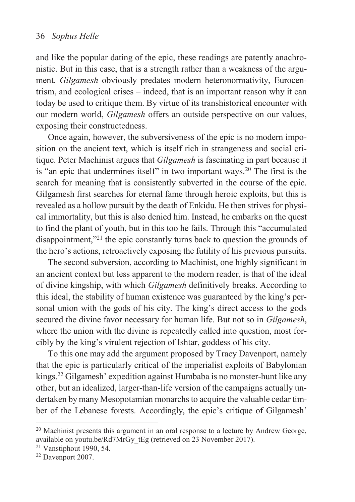and like the popular dating of the epic, these readings are patently anachronistic. But in this case, that is a strength rather than a weakness of the argument. *Gilgamesh* obviously predates modern heteronormativity, Eurocentrism, and ecological crises – indeed, that is an important reason why it can today be used to critique them. By virtue of its transhistorical encounter with our modern world, *Gilgamesh* offers an outside perspective on our values, exposing their constructedness.

Once again, however, the subversiveness of the epic is no modern imposition on the ancient text, which is itself rich in strangeness and social critique. Peter Machinist argues that *Gilgamesh* is fascinating in part because it is "an epic that undermines itself" in two important ways.20 The first is the search for meaning that is consistently subverted in the course of the epic. Gilgamesh first searches for eternal fame through heroic exploits, but this is revealed as a hollow pursuit by the death of Enkidu. He then strives for physical immortality, but this is also denied him. Instead, he embarks on the quest to find the plant of youth, but in this too he fails. Through this "accumulated disappointment,"21 the epic constantly turns back to question the grounds of the hero's actions, retroactively exposing the futility of his previous pursuits.

The second subversion, according to Machinist, one highly significant in an ancient context but less apparent to the modern reader, is that of the ideal of divine kingship, with which *Gilgamesh* definitively breaks. According to this ideal, the stability of human existence was guaranteed by the king's personal union with the gods of his city. The king's direct access to the gods secured the divine favor necessary for human life. But not so in *Gilgamesh*, where the union with the divine is repeatedly called into question, most forcibly by the king's virulent rejection of Ishtar, goddess of his city.

To this one may add the argument proposed by Tracy Davenport, namely that the epic is particularly critical of the imperialist exploits of Babylonian kings.22 Gilgamesh' expedition against Humbaba is no monster-hunt like any other, but an idealized, larger-than-life version of the campaigns actually undertaken by many Mesopotamian monarchs to acquire the valuable cedar timber of the Lebanese forests. Accordingly, the epic's critique of Gilgamesh'

 $20$  Machinist presents this argument in an oral response to a lecture by Andrew George, available on youtu.be/Rd7MrGy\_tEg (retrieved on 23 November 2017). 21 Vanstiphout 1990, 54.

<sup>22</sup> Davenport 2007.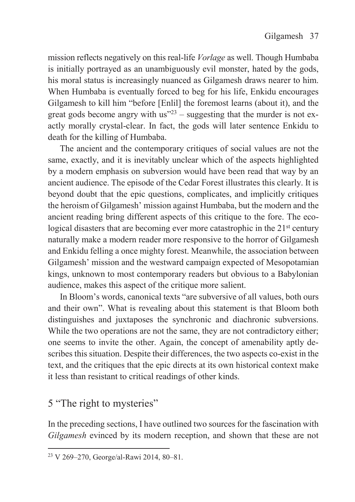mission reflects negatively on this real-life *Vorlage* as well. Though Humbaba is initially portrayed as an unambiguously evil monster, hated by the gods, his moral status is increasingly nuanced as Gilgamesh draws nearer to him. When Humbaba is eventually forced to beg for his life, Enkidu encourages Gilgamesh to kill him "before [Enlil] the foremost learns (about it), and the great gods become angry with us<sup> $23$ </sup> – suggesting that the murder is not exactly morally crystal-clear. In fact, the gods will later sentence Enkidu to death for the killing of Humbaba.

The ancient and the contemporary critiques of social values are not the same, exactly, and it is inevitably unclear which of the aspects highlighted by a modern emphasis on subversion would have been read that way by an ancient audience. The episode of the Cedar Forest illustrates this clearly. It is beyond doubt that the epic questions, complicates, and implicitly critiques the heroism of Gilgamesh' mission against Humbaba, but the modern and the ancient reading bring different aspects of this critique to the fore. The ecological disasters that are becoming ever more catastrophic in the 21<sup>st</sup> century naturally make a modern reader more responsive to the horror of Gilgamesh and Enkidu felling a once mighty forest. Meanwhile, the association between Gilgamesh' mission and the westward campaign expected of Mesopotamian kings, unknown to most contemporary readers but obvious to a Babylonian audience, makes this aspect of the critique more salient.

In Bloom's words, canonical texts "are subversive of all values, both ours and their own". What is revealing about this statement is that Bloom both distinguishes and juxtaposes the synchronic and diachronic subversions. While the two operations are not the same, they are not contradictory either; one seems to invite the other. Again, the concept of amenability aptly describes this situation. Despite their differences, the two aspects co-exist in the text, and the critiques that the epic directs at its own historical context make it less than resistant to critical readings of other kinds.

## 5 "The right to mysteries"

 $\overline{a}$ 

In the preceding sections, I have outlined two sources for the fascination with *Gilgamesh* evinced by its modern reception, and shown that these are not

<sup>23</sup> V 269–270, George/al-Rawi 2014, 80–81.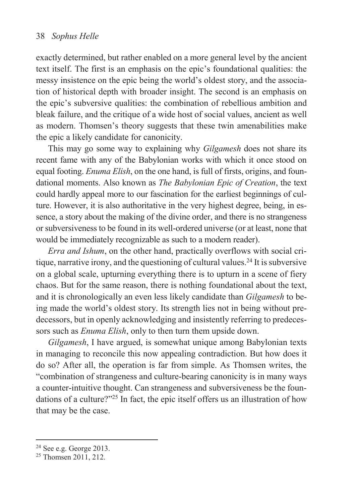exactly determined, but rather enabled on a more general level by the ancient text itself. The first is an emphasis on the epic's foundational qualities: the messy insistence on the epic being the world's oldest story, and the association of historical depth with broader insight. The second is an emphasis on the epic's subversive qualities: the combination of rebellious ambition and bleak failure, and the critique of a wide host of social values, ancient as well as modern. Thomsen's theory suggests that these twin amenabilities make the epic a likely candidate for canonicity.

This may go some way to explaining why *Gilgamesh* does not share its recent fame with any of the Babylonian works with which it once stood on equal footing. *Enuma Elish*, on the one hand, is full of firsts, origins, and foundational moments. Also known as *The Babylonian Epic of Creation*, the text could hardly appeal more to our fascination for the earliest beginnings of culture. However, it is also authoritative in the very highest degree, being, in essence, a story about the making of the divine order, and there is no strangeness or subversiveness to be found in its well-ordered universe (or at least, none that would be immediately recognizable as such to a modern reader).

*Erra and Ishum*, on the other hand, practically overflows with social critique, narrative irony, and the questioning of cultural values.24 It is subversive on a global scale, upturning everything there is to upturn in a scene of fiery chaos. But for the same reason, there is nothing foundational about the text, and it is chronologically an even less likely candidate than *Gilgamesh* to being made the world's oldest story. Its strength lies not in being without predecessors, but in openly acknowledging and insistently referring to predecessors such as *Enuma Elish*, only to then turn them upside down.

*Gilgamesh*, I have argued, is somewhat unique among Babylonian texts in managing to reconcile this now appealing contradiction. But how does it do so? After all, the operation is far from simple. As Thomsen writes, the "combination of strangeness and culture-bearing canonicity is in many ways a counter-intuitive thought. Can strangeness and subversiveness be the foundations of a culture?"<sup>25</sup> In fact, the epic itself offers us an illustration of how that may be the case.

<sup>&</sup>lt;sup>24</sup> See e.g. George 2013.

<sup>&</sup>lt;sup>25</sup> Thomsen 2011, 212.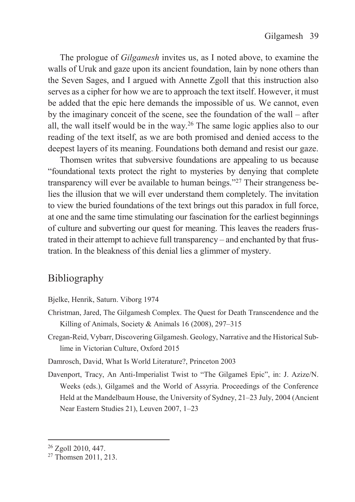The prologue of *Gilgamesh* invites us, as I noted above, to examine the walls of Uruk and gaze upon its ancient foundation, lain by none others than the Seven Sages, and I argued with Annette Zgoll that this instruction also serves as a cipher for how we are to approach the text itself. However, it must be added that the epic here demands the impossible of us. We cannot, even by the imaginary conceit of the scene, see the foundation of the wall – after all, the wall itself would be in the way.<sup>26</sup> The same logic applies also to our reading of the text itself, as we are both promised and denied access to the deepest layers of its meaning. Foundations both demand and resist our gaze.

Thomsen writes that subversive foundations are appealing to us because "foundational texts protect the right to mysteries by denying that complete transparency will ever be available to human beings."27 Their strangeness belies the illusion that we will ever understand them completely. The invitation to view the buried foundations of the text brings out this paradox in full force, at one and the same time stimulating our fascination for the earliest beginnings of culture and subverting our quest for meaning. This leaves the readers frustrated in their attempt to achieve full transparency – and enchanted by that frustration. In the bleakness of this denial lies a glimmer of mystery.

## Bibliography

- Bjelke, Henrik, Saturn. Viborg 1974
- Christman, Jared, The Gilgamesh Complex. The Quest for Death Transcendence and the Killing of Animals, Society & Animals 16 (2008), 297–315
- Cregan-Reid, Vybarr, Discovering Gilgamesh. Geology, Narrative and the Historical Sublime in Victorian Culture, Oxford 2015
- Damrosch, David, What Is World Literature?, Princeton 2003
- Davenport, Tracy, An Anti-Imperialist Twist to "The Gilgameš Epic", in: J. Azize/N. Weeks (eds.), Gilgameš and the World of Assyria. Proceedings of the Conference Held at the Mandelbaum House, the University of Sydney, 21–23 July, 2004 (Ancient Near Eastern Studies 21), Leuven 2007, 1–23

<sup>26</sup> Zgoll 2010, 447.

<sup>&</sup>lt;sup>27</sup> Thomsen 2011, 213.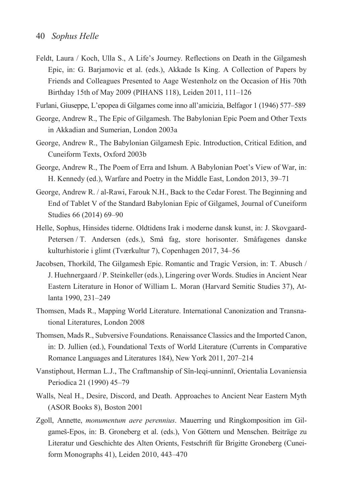- Feldt, Laura / Koch, Ulla S., A Life's Journey. Reflections on Death in the Gilgamesh Epic, in: G. Barjamovic et al. (eds.), Akkade Is King. A Collection of Papers by Friends and Colleagues Presented to Aage Westenholz on the Occasion of His 70th Birthday 15th of May 2009 (PIHANS 118), Leiden 2011, 111–126
- Furlani, Giuseppe, L'epopea di Gilgames come inno all'amicizia, Belfagor 1 (1946) 577–589
- George, Andrew R., The Epic of Gilgamesh. The Babylonian Epic Poem and Other Texts in Akkadian and Sumerian, London 2003a
- George, Andrew R., The Babylonian Gilgamesh Epic. Introduction, Critical Edition, and Cuneiform Texts, Oxford 2003b
- George, Andrew R., The Poem of Erra and Ishum. A Babylonian Poet's View of War, in: H. Kennedy (ed.), Warfare and Poetry in the Middle East, London 2013, 39–71
- George, Andrew R. / al-Rawi, Farouk N.H., Back to the Cedar Forest. The Beginning and End of Tablet V of the Standard Babylonian Epic of Gilgameš, Journal of Cuneiform Studies 66 (2014) 69–90
- Helle, Sophus, Hinsides tiderne. Oldtidens Irak i moderne dansk kunst, in: J. Skovgaard-Petersen / T. Andersen (eds.), Små fag, store horisonter. Småfagenes danske kulturhistorie i glimt (Tværkultur 7), Copenhagen 2017, 34–56
- Jacobsen, Thorkild, The Gilgamesh Epic. Romantic and Tragic Version, in: T. Abusch / J. Huehnergaard / P. Steinkeller (eds.), Lingering over Words. Studies in Ancient Near Eastern Literature in Honor of William L. Moran (Harvard Semitic Studies 37), Atlanta 1990, 231–249
- Thomsen, Mads R., Mapping World Literature. International Canonization and Transnational Literatures, London 2008
- Thomsen, Mads R., Subversive Foundations. Renaissance Classics and the Imported Canon, in: D. Jullien (ed.), Foundational Texts of World Literature (Currents in Comparative Romance Languages and Literatures 184), New York 2011, 207–214
- Vanstiphout, Herman L.J., The Craftmanship of Sîn-leqi-unninnī, Orientalia Lovaniensia Periodica 21 (1990) 45–79
- Walls, Neal H., Desire, Discord, and Death. Approaches to Ancient Near Eastern Myth (ASOR Books 8), Boston 2001
- Zgoll, Annette, *monumentum aere perennius*. Mauerring und Ringkomposition im Gilgameš-Epos, in: B. Groneberg et al. (eds.), Von Göttern und Menschen. Beiträge zu Literatur und Geschichte des Alten Orients, Festschrift für Brigitte Groneberg (Cuneiform Monographs 41), Leiden 2010, 443–470